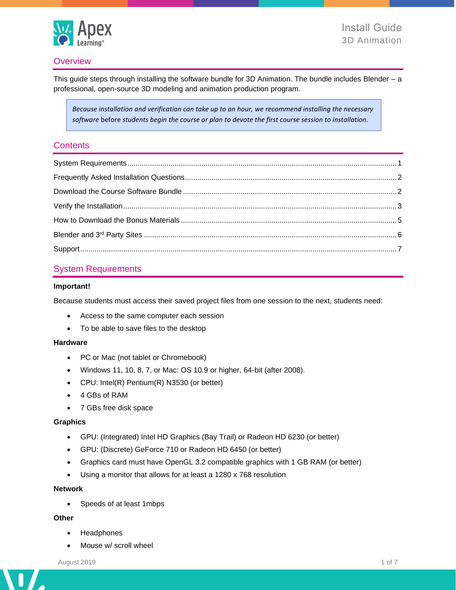

## **Overview**

This guide steps through installing the software bundle for 3D Animation. The bundle includes Blender – a professional, open-source 3D modeling and animation production program.

*Because installation and verification can take up to an hour, we recommend installing the necessary software* before *students begin the course or plan to devote the first course session to installation.*

### **Contents**

## <span id="page-0-0"></span>System Requirements

### **Important!**

Because students must access their saved project files from one session to the next, students need:

- Access to the same computer each session
- To be able to save files to the desktop

### **Hardware**

- PC or Mac (not tablet or Chromebook)
- Windows 11, 10, 8, 7, or Mac: OS 10.9 or higher, 64-bit (after 2008).
- CPU: Intel(R) Pentium(R) N3530 (or better)
- 4 GBs of RAM
- 7 GBs free disk space

### **Graphics**

- GPU: (Integrated) Intel HD Graphics (Bay Trail) or Radeon HD 6230 (or better)
- GPU: (Discrete) GeForce 710 or Radeon HD 6450 (or better)
- Graphics card must have OpenGL 3.2 compatible graphics with 1 GB RAM (or better)
- Using a monitor that allows for at least a 1280 x 768 resolution

#### **Network**

• Speeds of at least 1mbps

### **Other**

 $\mathbf{I}$ 

 $\overline{\phantom{a}}$ 

- Headphones
- Mouse w/ scroll wheel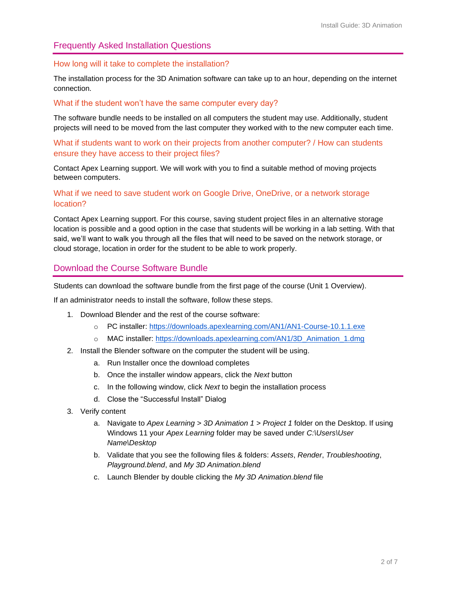## <span id="page-1-0"></span>Frequently Asked Installation Questions

### How long will it take to complete the installation?

The installation process for the 3D Animation software can take up to an hour, depending on the internet connection.

### What if the student won't have the same computer every day?

The software bundle needs to be installed on all computers the student may use. Additionally, student projects will need to be moved from the last computer they worked with to the new computer each time.

What if students want to work on their projects from another computer? / How can students ensure they have access to their project files?

<span id="page-1-1"></span>Contact Apex Learning support. We will work with you to find a suitable method of moving projects between computers.

### What if we need to save student work on Google Drive, OneDrive, or a network storage location?

Contact Apex Learning support. For this course, saving student project files in an alternative storage location is possible and a good option in the case that students will be working in a lab setting. With that said, we'll want to walk you through all the files that will need to be saved on the network storage, or cloud storage, location in order for the student to be able to work properly.

## Download the Course Software Bundle

Students can download the software bundle from the first page of the course (Unit 1 Overview).

If an administrator needs to install the software, follow these steps.

- 1. Download Blender and the rest of the course software:
	- o PC installer:<https://downloads.apexlearning.com/AN1/AN1-Course-10.1.1.exe>
	- o MAC installer: [https://downloads.apexlearning.com/AN1/3D\\_Animation\\_1.dmg](https://downloads.apexlearning.com/AN1/3D_Animation_1.dmg)
- 2. Install the Blender software on the computer the student will be using.
	- a. Run Installer once the download completes
	- b. Once the installer window appears, click the *Next* button
	- c. In the following window, click *Next* to begin the installation process
	- d. Close the "Successful Install" Dialog
- 3. Verify content
	- a. Navigate to *Apex Learning > 3D Animation 1 > Project 1* folder on the Desktop. If using Windows 11 your *Apex Learning* folder may be saved under *C:\Users\User Name\Desktop*
	- b. Validate that you see the following files & folders: *Assets*, *Render*, *Troubleshooting*, *Playground.blend*, and *My 3D Animation.blend*
	- c. Launch Blender by double clicking the *My 3D Animation.blend* file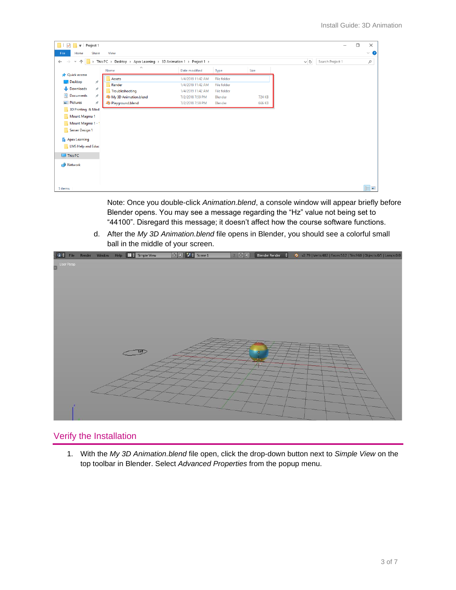| Project 1<br>t ≑ i                                 |               |                                                                    |                   |                    |        |          | -                | $\Box$ | $\times$  |
|----------------------------------------------------|---------------|--------------------------------------------------------------------|-------------------|--------------------|--------|----------|------------------|--------|-----------|
| File<br>Home                                       | <b>Share</b>  | View                                                               |                   |                    |        |          |                  |        | $\vee$ 0  |
| $\leftarrow$<br>$\rightarrow$<br>个<br>$\checkmark$ |               | > This PC > Desktop > Apex Learning > 3D Animation 1 > Project 1 > |                   |                    |        | $\sim$ 0 | Search Project 1 |        | $\varphi$ |
|                                                    |               | $\wedge$<br>Name                                                   | Date modified     | Type               | Size   |          |                  |        |           |
| <b>A</b> Quick access                              | À.            | Assets                                                             | 1/4/2019 11:42 AM | File folder        |        |          |                  |        |           |
| Desktop                                            |               | Render                                                             | 1/4/2019 11:42 AM | File folder        |        |          |                  |        |           |
| Downloads                                          | $\mathcal{R}$ | Troubleshooting                                                    | 1/4/2019 11:42 AM | <b>File folder</b> |        |          |                  |        |           |
| <b>Documents</b>                                   | $\pi$         | My 3D Animation.blend                                              | 7/2/2018 7:59 PM  | Blender            | 724 KB |          |                  |        |           |
| Pictures                                           | À.            | Playground.blend                                                   | 7/2/2018 7:59 PM  | Blender            | 666 KB |          |                  |        |           |
| 3D Printing & Mod                                  |               |                                                                    |                   |                    |        |          |                  |        |           |
| Mount Magma 1                                      |               |                                                                    |                   |                    |        |          |                  |        |           |
| Mount Magma 1 - 1                                  |               |                                                                    |                   |                    |        |          |                  |        |           |
| Server Design 1                                    |               |                                                                    |                   |                    |        |          |                  |        |           |
| <b>R</b> Apex Learning                             |               |                                                                    |                   |                    |        |          |                  |        |           |
| <b>LMS Help and Educ</b>                           |               |                                                                    |                   |                    |        |          |                  |        |           |
| $\Box$ This PC                                     |               |                                                                    |                   |                    |        |          |                  |        |           |
| Network                                            |               |                                                                    |                   |                    |        |          |                  |        |           |
|                                                    |               |                                                                    |                   |                    |        |          |                  |        |           |
|                                                    |               |                                                                    |                   |                    |        |          |                  |        |           |
|                                                    |               |                                                                    |                   |                    |        |          |                  |        |           |
| 5 items                                            |               |                                                                    |                   |                    |        |          |                  |        | 明日        |

Note: Once you double-click *Animation.blend*, a console window will appear briefly before Blender opens. You may see a message regarding the "Hz" value not being set to "44100". Disregard this message; it doesn't affect how the course software functions.

d. After the *My 3D Animation.blend* file opens in Blender, you should see a colorful small ball in the middle of your screen.



# <span id="page-2-0"></span>Verify the Installation

1. With the *My 3D Animation.blend* file open, click the drop-down button next to *Simple View* on the top toolbar in Blender. Select *Advanced Properties* from the popup menu.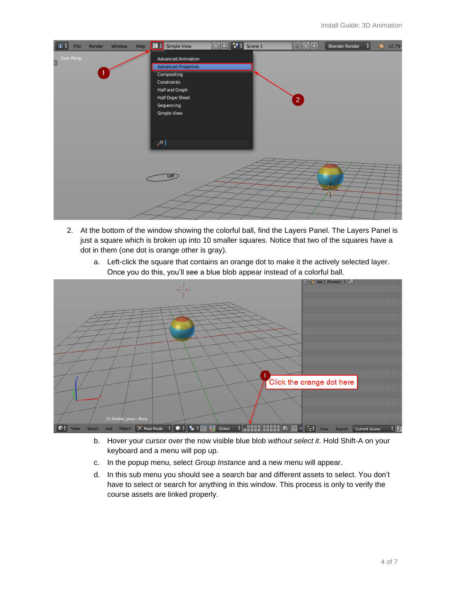| $\bullet$<br><b>File</b> | Render | Window | Help | <b>HD</b> + Simple View                                                                                                                                               | $+8$ $+5$ Scene 1 | $2 - 4$                | Blender Render<br>÷   | 2 <sup>0</sup> v2.79 |
|--------------------------|--------|--------|------|-----------------------------------------------------------------------------------------------------------------------------------------------------------------------|-------------------|------------------------|-----------------------|----------------------|
| User Persp<br>3          |        |        |      | Advanced Animation<br><b>Advanced Properties</b><br>Compositing<br>Constraints<br>Half and Graph<br>Half Dope Sheet<br>Sequencing<br>Simple View<br>$  \mathcal{P}  $ |                   | $\left 2\right\rangle$ |                       |                      |
|                          |        |        |      |                                                                                                                                                                       |                   |                        | $\bullet$<br>∼<br>V.A |                      |

- 2. At the bottom of the window showing the colorful ball, find the Layers Panel. The Layers Panel is just a square which is broken up into 10 smaller squares. Notice that two of the squares have a dot in them (one dot is orange other is gray).
	- a. Left-click the square that contains an orange dot to make it the actively selected layer. Once you do this, you'll see a blue blob appear instead of a colorful ball.



- b. Hover your cursor over the now visible blue blob *without select it*. Hold Shift-A on your keyboard and a menu will pop up.
- c. In the popup menu, select *Group Instance* and a new menu will appear.
- d. In this sub menu you should see a search bar and different assets to select. You don't have to select or search for anything in this window. This process is only to verify the course assets are linked properly.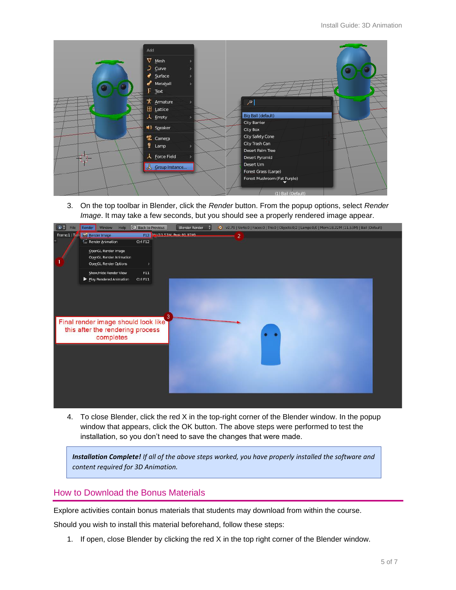| Add                |                              |  |
|--------------------|------------------------------|--|
| $\nabla$ Mesh      |                              |  |
| $\sum$ Curve       |                              |  |
| Surface            |                              |  |
| Metaball           |                              |  |
| $F$ Text           |                              |  |
| $\star$ Armature   | $\mathcal{P}$                |  |
| $\boxplus$ Lattice |                              |  |
| 人 Empty            | Big Ball (default)           |  |
| (1) Speaker        | City Barrier<br>City Box     |  |
|                    | City Safety Cone             |  |
| g Camera           | City Trash Can               |  |
| $•$ Lamp           | Desert Palm Tree             |  |
| 人 Force Field      | Desert Pyramid               |  |
| & Group Instance   | Desert Urn                   |  |
|                    | Forest Grass (Large)         |  |
|                    | Forest Mushroom (Fat Purple) |  |
|                    | (1) Ball (Default)           |  |

3. On the top toolbar in Blender, click the *Render* button. From the popup options, select *Render Image*. It may take a few seconds, but you should see a properly rendered image appear.



4. To close Blender, click the red X in the top-right corner of the Blender window. In the popup window that appears, click the OK button. The above steps were performed to test the installation, so you don't need to save the changes that were made.

*Installation Complete! If all of the above steps worked, you have properly installed the software and content required for 3D Animation.*

# <span id="page-4-0"></span>How to Download the Bonus Materials

Explore activities contain bonus materials that students may download from within the course.

Should you wish to install this material beforehand, follow these steps:

1. If open, close Blender by clicking the red X in the top right corner of the Blender window.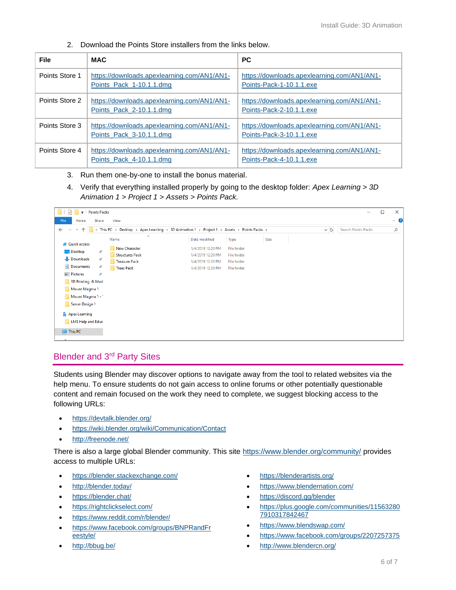| <b>File</b>    | <b>MAC</b>                                                              | <b>PC</b>                                                               |
|----------------|-------------------------------------------------------------------------|-------------------------------------------------------------------------|
| Points Store 1 | https://downloads.apexlearning.com/AN1/AN1-<br>Points Pack 1-10.1.1.dmg | https://downloads.apexlearning.com/AN1/AN1-<br>Points-Pack-1-10.1.1.exe |
| Points Store 2 | https://downloads.apexlearning.com/AN1/AN1-<br>Points Pack 2-10.1.1.dmg | https://downloads.apexlearning.com/AN1/AN1-<br>Points-Pack-2-10.1.1.exe |
| Points Store 3 | https://downloads.apexlearning.com/AN1/AN1-<br>Points Pack 3-10.1.1.dmg | https://downloads.apexlearning.com/AN1/AN1-<br>Points-Pack-3-10.1.1.exe |
| Points Store 4 | https://downloads.apexlearning.com/AN1/AN1-<br>Points Pack 4-10.1.1.dmg | https://downloads.apexlearning.com/AN1/AN1-<br>Points-Pack-4-10.1.1.exe |

2. Download the Points Store installers from the links below.

- 3. Run them one-by-one to install the bonus material.
- 4. Verify that everything installed properly by going to the desktop folder: *Apex Learning > 3D Animation 1 > Project 1 > Assets* > *Points Pack.*

| ◡<br><b>The Contract of the Contract of the Contract</b>                                                                                                                       | $\frac{1}{2}$ Points Packs |                        |                   |                    |      |  |  | □ | ×        |
|--------------------------------------------------------------------------------------------------------------------------------------------------------------------------------|----------------------------|------------------------|-------------------|--------------------|------|--|--|---|----------|
| File<br>Home                                                                                                                                                                   | Share                      | View                   |                   |                    |      |  |  |   | $\vee$ 0 |
| $\sim$ 0<br>This PC > Desktop > Apex Learning > 3D Animation 1 > Project 1 ><br>$\rightarrow$<br>Assets > Points Packs ><br>$\leftarrow$<br>个<br>$\checkmark$<br>$\rightarrow$ |                            |                        |                   |                    |      |  |  |   | مر       |
|                                                                                                                                                                                |                            | $\wedge$<br>Name       | Date modified     | Type               | Size |  |  |   |          |
| <b>Quick access</b>                                                                                                                                                            |                            | New Character          | 1/4/2019 12:20 PM | <b>File folder</b> |      |  |  |   |          |
| <b>Desktop</b>                                                                                                                                                                 | $\star$                    | <b>Structures Pack</b> | 1/4/2019 12:20 PM | File folder        |      |  |  |   |          |
| Downloads                                                                                                                                                                      | ∦                          | <b>Treasure Pack</b>   | 1/4/2019 12:20 PM | File folder        |      |  |  |   |          |
| <b>Documents</b>                                                                                                                                                               | À                          | Trees Pack             | 1/4/2019 12:20 PM | File folder        |      |  |  |   |          |
| Pictures                                                                                                                                                                       | À                          |                        |                   |                    |      |  |  |   |          |
| 3D Printing & Mod                                                                                                                                                              |                            |                        |                   |                    |      |  |  |   |          |
| Mount Magma 1                                                                                                                                                                  |                            |                        |                   |                    |      |  |  |   |          |
| Mount Magma 1 - 1                                                                                                                                                              |                            |                        |                   |                    |      |  |  |   |          |
| Server Design 1                                                                                                                                                                |                            |                        |                   |                    |      |  |  |   |          |
| <b>B</b> Apex Learning                                                                                                                                                         |                            |                        |                   |                    |      |  |  |   |          |
| LMS Help and Educ                                                                                                                                                              |                            |                        |                   |                    |      |  |  |   |          |
| $\Box$ This PC                                                                                                                                                                 |                            |                        |                   |                    |      |  |  |   |          |
|                                                                                                                                                                                |                            |                        |                   |                    |      |  |  |   |          |

# <span id="page-5-0"></span>Blender and 3rd Party Sites

Students using Blender may discover options to navigate away from the tool to related websites via the help menu. To ensure students do not gain access to online forums or other potentially questionable content and remain focused on the work they need to complete, we suggest blocking access to the following URLs:

- <https://devtalk.blender.org/>
- <https://wiki.blender.org/wiki/Communication/Contact>
- <http://freenode.net/>

There is also a large global Blender community. This site<https://www.blender.org/community/> provides access to multiple URLs:

- <https://blender.stackexchange.com/>
- <http://blender.today/>
- <https://blender.chat/>
- <https://rightclickselect.com/>
- <https://www.reddit.com/r/blender/>
- [https://www.facebook.com/groups/BNPRandFr](https://www.facebook.com/groups/BNPRandFreestyle/) [eestyle/](https://www.facebook.com/groups/BNPRandFreestyle/)
- <http://bbug.be/>
- <https://blenderartists.org/>
- <https://www.blendernation.com/>
- <https://discord.gg/blender>
- [https://plus.google.com/communities/11563280](https://plus.google.com/communities/115632807910317842467) [7910317842467](https://plus.google.com/communities/115632807910317842467)
- <https://www.blendswap.com/>
- <https://www.facebook.com/groups/2207257375>
- <http://www.blendercn.org/>